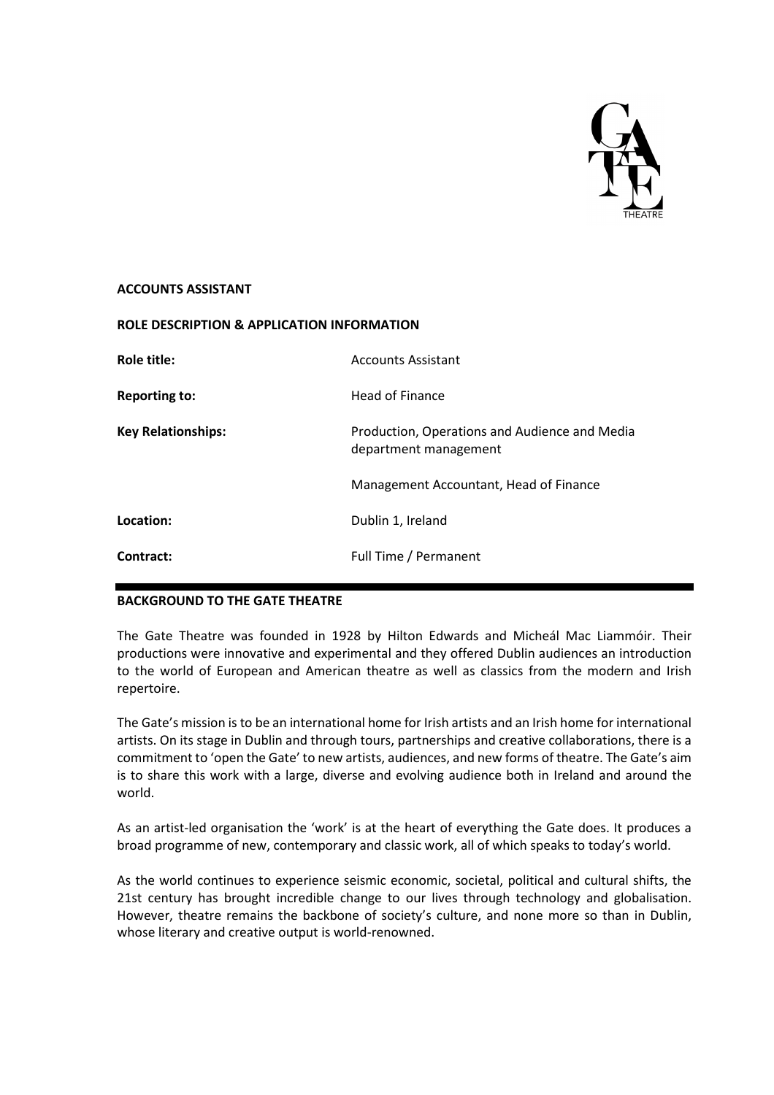

#### **ACCOUNTS ASSISTANT**

| <b>ROLE DESCRIPTION &amp; APPLICATION INFORMATION</b> |                                                                        |
|-------------------------------------------------------|------------------------------------------------------------------------|
| Role title:                                           | <b>Accounts Assistant</b>                                              |
| <b>Reporting to:</b>                                  | Head of Finance                                                        |
| <b>Key Relationships:</b>                             | Production, Operations and Audience and Media<br>department management |
|                                                       | Management Accountant, Head of Finance                                 |
| Location:                                             | Dublin 1, Ireland                                                      |
| Contract:                                             | Full Time / Permanent                                                  |

# **BACKGROUND TO THE GATE THEATRE**

The Gate Theatre was founded in 1928 by Hilton Edwards and Micheál Mac Liammóir. Their productions were innovative and experimental and they offered Dublin audiences an introduction to the world of European and American theatre as well as classics from the modern and Irish repertoire.

The Gate's mission is to be an international home for Irish artists and an Irish home for international artists. On its stage in Dublin and through tours, partnerships and creative collaborations, there is a commitment to 'open the Gate' to new artists, audiences, and new forms of theatre. The Gate's aim is to share this work with a large, diverse and evolving audience both in Ireland and around the world.

As an artist-led organisation the 'work' is at the heart of everything the Gate does. It produces a broad programme of new, contemporary and classic work, all of which speaks to today's world.

As the world continues to experience seismic economic, societal, political and cultural shifts, the 21st century has brought incredible change to our lives through technology and globalisation. However, theatre remains the backbone of society's culture, and none more so than in Dublin, whose literary and creative output is world-renowned.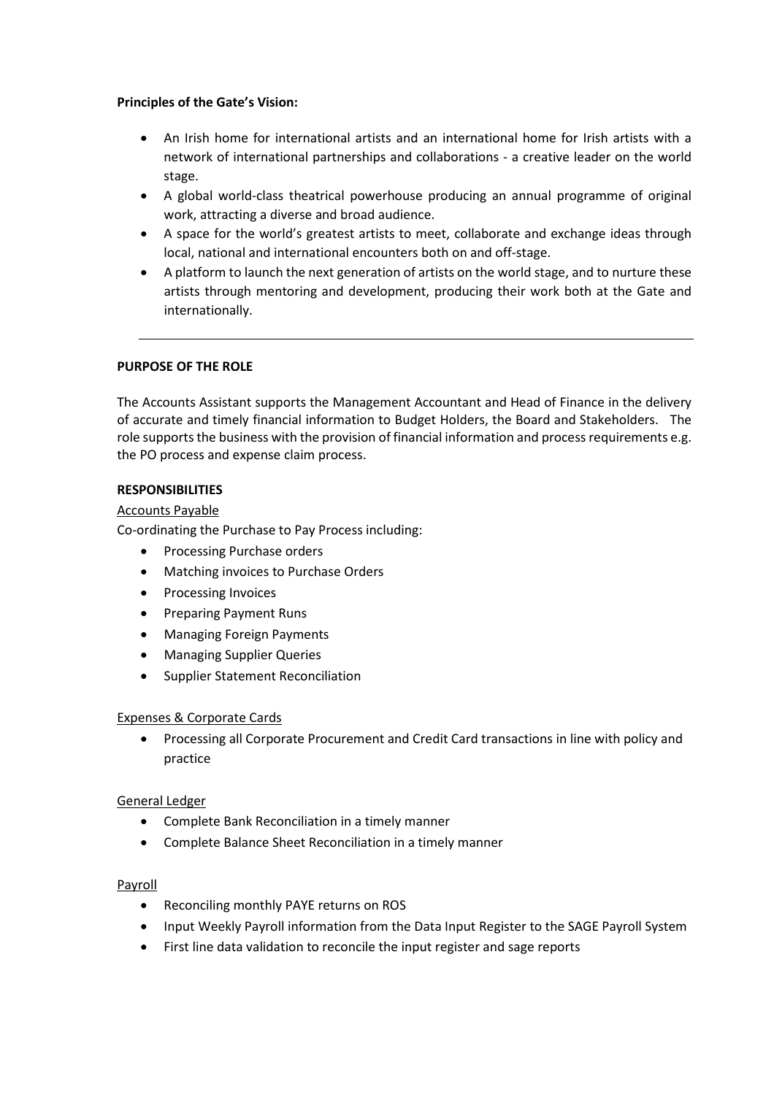#### **Principles of the Gate's Vision:**

- An Irish home for international artists and an international home for Irish artists with a network of international partnerships and collaborations - a creative leader on the world stage.
- A global world-class theatrical powerhouse producing an annual programme of original work, attracting a diverse and broad audience.
- A space for the world's greatest artists to meet, collaborate and exchange ideas through local, national and international encounters both on and off-stage.
- A platform to launch the next generation of artists on the world stage, and to nurture these artists through mentoring and development, producing their work both at the Gate and internationally.

# **PURPOSE OF THE ROLE**

The Accounts Assistant supports the Management Accountant and Head of Finance in the delivery of accurate and timely financial information to Budget Holders, the Board and Stakeholders. The role supports the business with the provision of financial information and process requirements e.g. the PO process and expense claim process.

## **RESPONSIBILITIES**

#### Accounts Payable

Co-ordinating the Purchase to Pay Process including:

- Processing Purchase orders
- Matching invoices to Purchase Orders
- Processing Invoices
- Preparing Payment Runs
- Managing Foreign Payments
- Managing Supplier Queries
- Supplier Statement Reconciliation

#### Expenses & Corporate Cards

• Processing all Corporate Procurement and Credit Card transactions in line with policy and practice

#### General Ledger

- Complete Bank Reconciliation in a timely manner
- Complete Balance Sheet Reconciliation in a timely manner

#### Payroll

- Reconciling monthly PAYE returns on ROS
- Input Weekly Payroll information from the Data Input Register to the SAGE Payroll System
- First line data validation to reconcile the input register and sage reports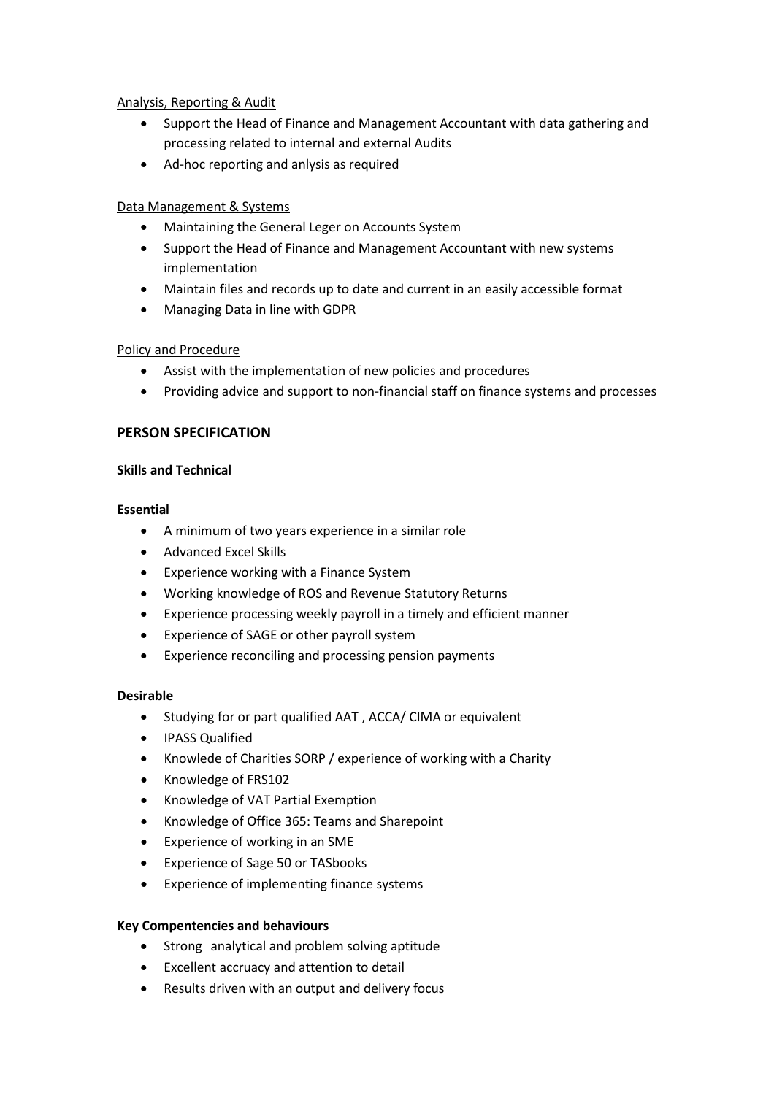## Analysis, Reporting & Audit

- Support the Head of Finance and Management Accountant with data gathering and processing related to internal and external Audits
- Ad-hoc reporting and anlysis as required

# Data Management & Systems

- Maintaining the General Leger on Accounts System
- Support the Head of Finance and Management Accountant with new systems implementation
- Maintain files and records up to date and current in an easily accessible format
- Managing Data in line with GDPR

# Policy and Procedure

- Assist with the implementation of new policies and procedures
- Providing advice and support to non-financial staff on finance systems and processes

# **PERSON SPECIFICATION**

## **Skills and Technical**

## **Essential**

- A minimum of two years experience in a similar role
- Advanced Excel Skills
- Experience working with a Finance System
- Working knowledge of ROS and Revenue Statutory Returns
- Experience processing weekly payroll in a timely and efficient manner
- Experience of SAGE or other payroll system
- Experience reconciling and processing pension payments

# **Desirable**

- Studying for or part qualified AAT , ACCA/ CIMA or equivalent
- IPASS Qualified
- Knowlede of Charities SORP / experience of working with a Charity
- Knowledge of FRS102
- Knowledge of VAT Partial Exemption
- Knowledge of Office 365: Teams and Sharepoint
- Experience of working in an SME
- Experience of Sage 50 or TASbooks
- Experience of implementing finance systems

# **Key Compentencies and behaviours**

- Strong analytical and problem solving aptitude
- Excellent accruacy and attention to detail
- Results driven with an output and delivery focus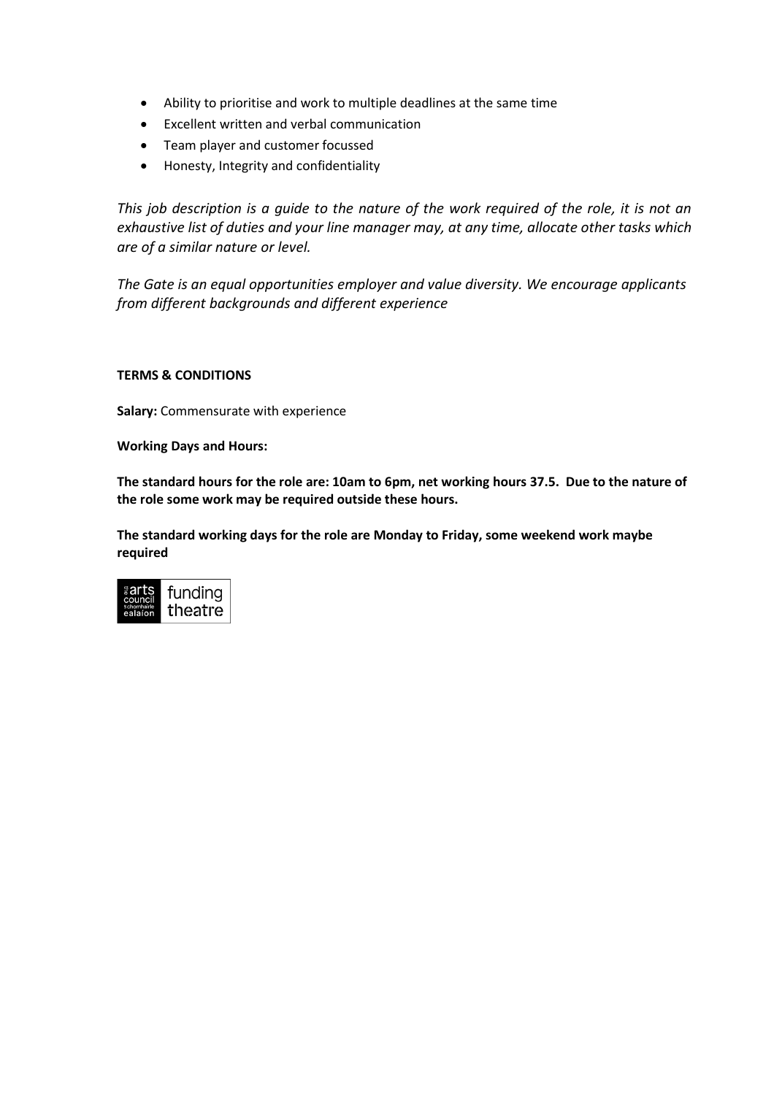- Ability to prioritise and work to multiple deadlines at the same time
- Excellent written and verbal communication
- Team player and customer focussed
- Honesty, Integrity and confidentiality

*This job description is a guide to the nature of the work required of the role, it is not an exhaustive list of duties and your line manager may, at any time, allocate other tasks which are of a similar nature or level.*

*The Gate is an equal opportunities employer and value diversity. We encourage applicants from different backgrounds and different experience* 

## **TERMS & CONDITIONS**

**Salary:** Commensurate with experience

**Working Days and Hours:** 

**The standard hours for the role are: 10am to 6pm, net working hours 37.5. Due to the nature of the role some work may be required outside these hours.**

**The standard working days for the role are Monday to Friday, some weekend work maybe required**